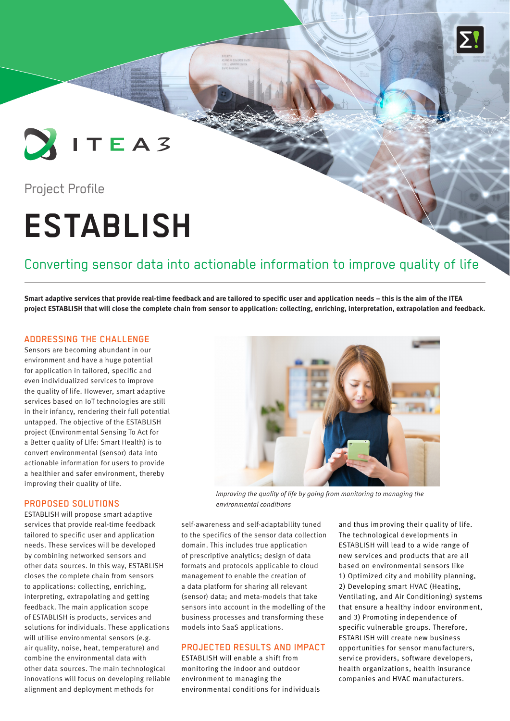

### Project Profile

# **ESTABLISH**

## Converting sensor data into actionable information to improve quality of life

**Smart adaptive services that provide real-time feedback and are tailored to specific user and application needs – this is the aim of the ITEA project ESTABLISH that will close the complete chain from sensor to application: collecting, enriching, interpretation, extrapolation and feedback.**

#### ADDRESSING THE CHALLENGE

Sensors are becoming abundant in our environment and have a huge potential for application in tailored, specific and even individualized services to improve the quality of life. However, smart adaptive services based on IoT technologies are still in their infancy, rendering their full potential untapped. The objective of the ESTABLISH project (Environmental Sensing To Act for a Better quality of LIfe: Smart Health) is to convert environmental (sensor) data into actionable information for users to provide a healthier and safer environment, thereby improving their quality of life.

#### PROPOSED SOLUTIONS

ESTABLISH will propose smart adaptive services that provide real-time feedback tailored to specific user and application needs. These services will be developed by combining networked sensors and other data sources. In this way, ESTABLISH closes the complete chain from sensors to applications: collecting, enriching, interpreting, extrapolating and getting feedback. The main application scope of ESTABLISH is products, services and solutions for individuals. These applications will utilise environmental sensors (e.g. air quality, noise, heat, temperature) and combine the environmental data with other data sources. The main technological innovations will focus on developing reliable alignment and deployment methods for



*Improving the quality of life by going from monitoring to managing the environmental conditions* 

self-awareness and self-adaptability tuned to the specifics of the sensor data collection domain. This includes true application of prescriptive analytics; design of data formats and protocols applicable to cloud management to enable the creation of a data platform for sharing all relevant (sensor) data; and meta-models that take sensors into account in the modelling of the business processes and transforming these models into SaaS applications.

#### PROJECTED RESULTS AND IMPACT

ESTABLISH will enable a shift from monitoring the indoor and outdoor environment to managing the environmental conditions for individuals and thus improving their quality of life. The technological developments in ESTABLISH will lead to a wide range of new services and products that are all based on environmental sensors like 1) Optimized city and mobility planning, 2) Developing smart HVAC (Heating, Ventilating, and Air Conditioning) systems that ensure a healthy indoor environment, and 3) Promoting independence of specific vulnerable groups. Therefore, ESTABLISH will create new business opportunities for sensor manufacturers, service providers, software developers, health organizations, health insurance companies and HVAC manufacturers.